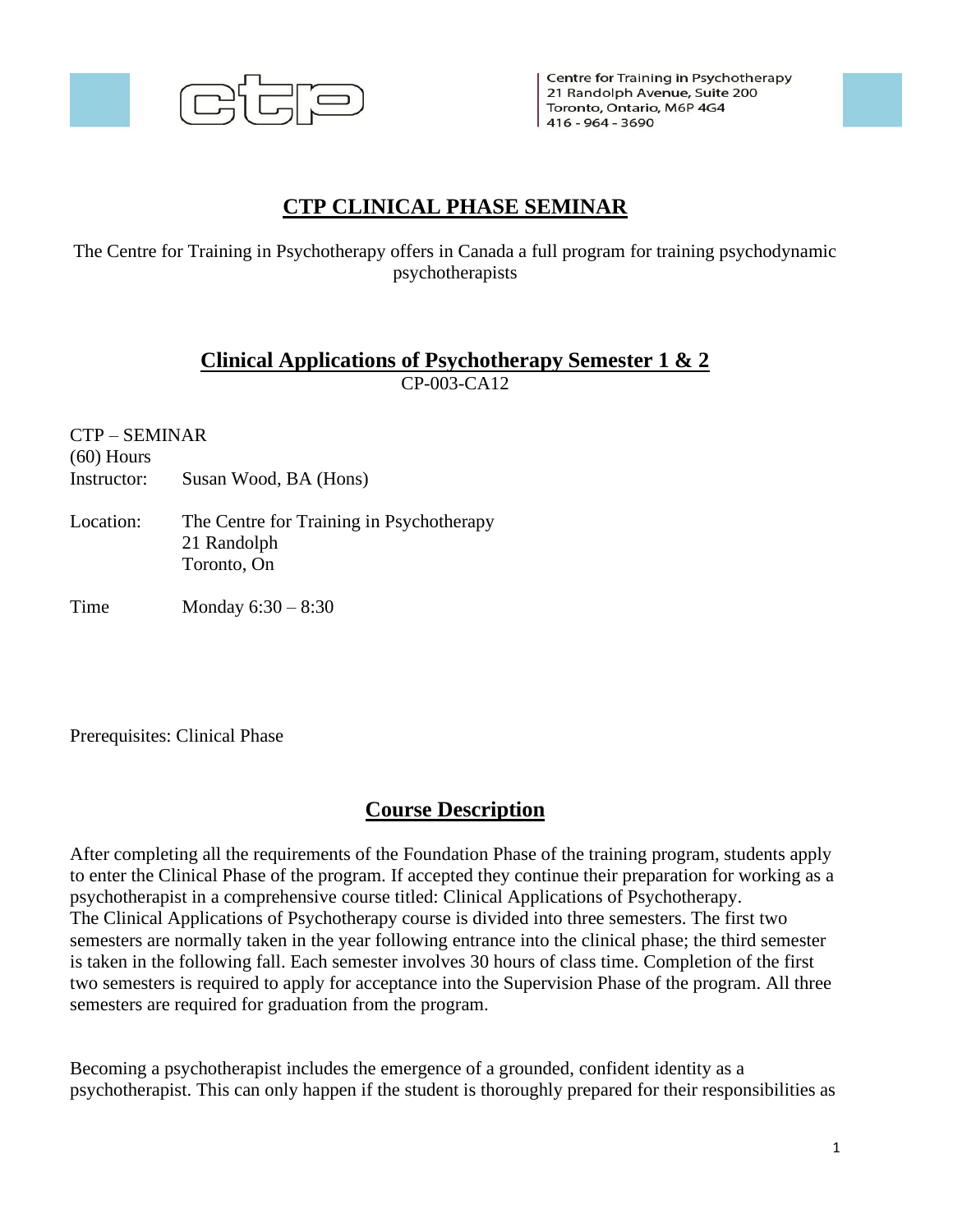

Centre for Training in Psychotherapy 21 Randolph Avenue, Suite 200 Toronto, Ontario, M6P 4G4 416 - 964 - 3690

# **CTP CLINICAL PHASE SEMINAR**

The Centre for Training in Psychotherapy offers in Canada a full program for training psychodynamic psychotherapists

#### **Clinical Applications of Psychotherapy Semester 1 & 2** CP-003-CA12

CTP – SEMINAR

(60) Hours

Instructor: Susan Wood, BA (Hons)

Location: The Centre for Training in Psychotherapy 21 Randolph Toronto, On

Time Monday 6:30 – 8:30

Prerequisites: Clinical Phase

### **Course Description**

After completing all the requirements of the Foundation Phase of the training program, students apply to enter the Clinical Phase of the program. If accepted they continue their preparation for working as a psychotherapist in a comprehensive course titled: Clinical Applications of Psychotherapy. The Clinical Applications of Psychotherapy course is divided into three semesters. The first two semesters are normally taken in the year following entrance into the clinical phase; the third semester is taken in the following fall. Each semester involves 30 hours of class time. Completion of the first two semesters is required to apply for acceptance into the Supervision Phase of the program. All three semesters are required for graduation from the program.

Becoming a psychotherapist includes the emergence of a grounded, confident identity as a psychotherapist. This can only happen if the student is thoroughly prepared for their responsibilities as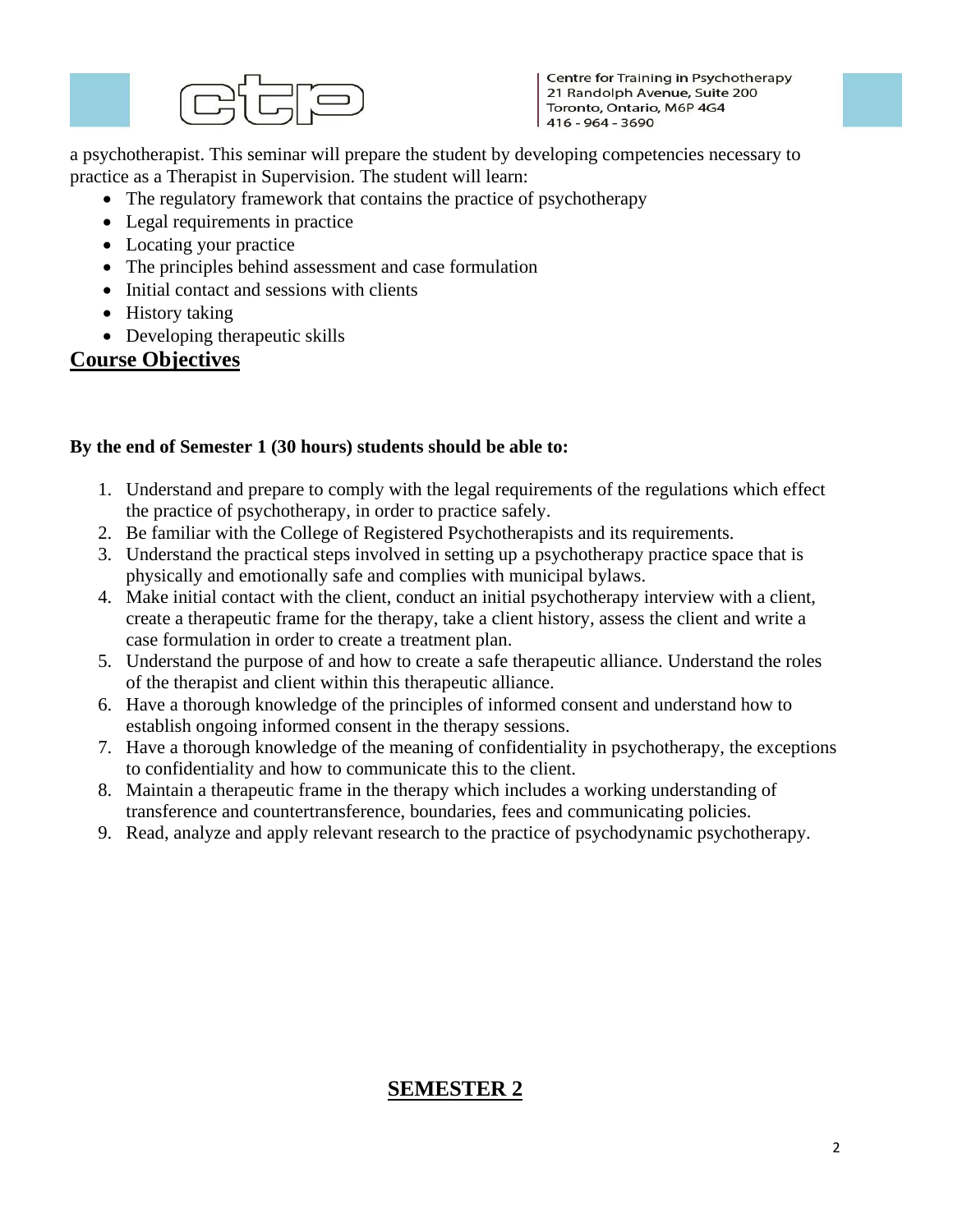

Centre for Training in Psychotherapy 21 Randolph Avenue, Suite 200 Toronto, Ontario, M6P 4G4 416 - 964 - 3690

a psychotherapist. This seminar will prepare the student by developing competencies necessary to practice as a Therapist in Supervision. The student will learn:

- The regulatory framework that contains the practice of psychotherapy
- Legal requirements in practice
- Locating your practice
- The principles behind assessment and case formulation
- Initial contact and sessions with clients
- History taking
- Developing therapeutic skills

### **Course Objectives**

#### **By the end of Semester 1 (30 hours) students should be able to:**

- 1. Understand and prepare to comply with the legal requirements of the regulations which effect the practice of psychotherapy, in order to practice safely.
- 2. Be familiar with the College of Registered Psychotherapists and its requirements.
- 3. Understand the practical steps involved in setting up a psychotherapy practice space that is physically and emotionally safe and complies with municipal bylaws.
- 4. Make initial contact with the client, conduct an initial psychotherapy interview with a client, create a therapeutic frame for the therapy, take a client history, assess the client and write a case formulation in order to create a treatment plan.
- 5. Understand the purpose of and how to create a safe therapeutic alliance. Understand the roles of the therapist and client within this therapeutic alliance.
- 6. Have a thorough knowledge of the principles of informed consent and understand how to establish ongoing informed consent in the therapy sessions.
- 7. Have a thorough knowledge of the meaning of confidentiality in psychotherapy, the exceptions to confidentiality and how to communicate this to the client.
- 8. Maintain a therapeutic frame in the therapy which includes a working understanding of transference and countertransference, boundaries, fees and communicating policies.
- 9. Read, analyze and apply relevant research to the practice of psychodynamic psychotherapy.

## **SEMESTER 2**